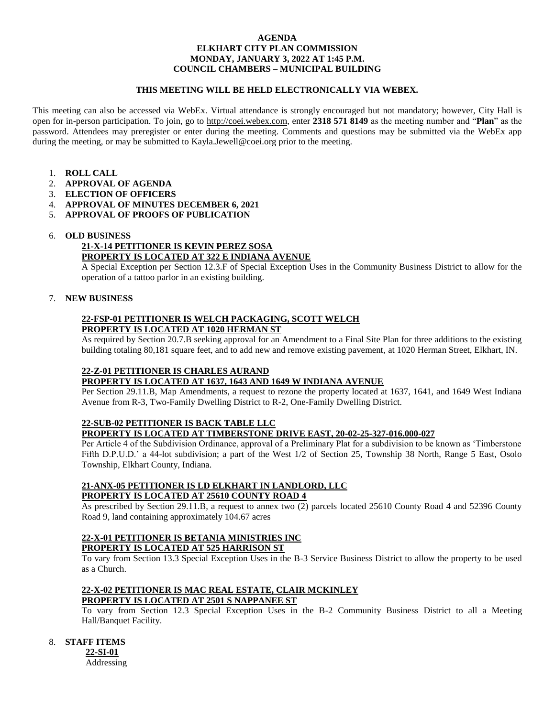### **AGENDA ELKHART CITY PLAN COMMISSION MONDAY, JANUARY 3, 2022 AT 1:45 P.M. COUNCIL CHAMBERS – MUNICIPAL BUILDING**

### **THIS MEETING WILL BE HELD ELECTRONICALLY VIA WEBEX.**

This meeting can also be accessed via WebEx. Virtual attendance is strongly encouraged but not mandatory; however, City Hall is open for in-person participation. To join, go to [http://coei.webex.com,](http://coei.webex.com/) enter **2318 571 8149** as the meeting number and "**Plan**" as the password. Attendees may preregister or enter during the meeting. Comments and questions may be submitted via the WebEx app during the meeting, or may be submitted to [Kayla.Jewell@coei.org](mailto:Kayla.Jewell@coei.org) prior to the meeting.

- 1. **ROLL CALL**
- 2. **APPROVAL OF AGENDA**
- 3. **ELECTION OF OFFICERS**
- 4. **APPROVAL OF MINUTES DECEMBER 6, 2021**
- 5. **APPROVAL OF PROOFS OF PUBLICATION**

### 6. **OLD BUSINESS**

#### **21-X-14 PETITIONER IS KEVIN PEREZ SOSA PROPERTY IS LOCATED AT 322 E INDIANA AVENUE**

A Special Exception per Section 12.3.F of Special Exception Uses in the Community Business District to allow for the operation of a tattoo parlor in an existing building.

## 7. **NEW BUSINESS**

## **22-FSP-01 PETITIONER IS WELCH PACKAGING, SCOTT WELCH PROPERTY IS LOCATED AT 1020 HERMAN ST**

As required by Section 20.7.B seeking approval for an Amendment to a Final Site Plan for three additions to the existing building totaling 80,181 square feet, and to add new and remove existing pavement, at 1020 Herman Street, Elkhart, IN.

### **22-Z-01 PETITIONER IS CHARLES AURAND PROPERTY IS LOCATED AT 1637, 1643 AND 1649 W INDIANA AVENUE**

Per Section 29.11.B, Map Amendments, a request to rezone the property located at 1637, 1641, and 1649 West Indiana Avenue from R-3, Two-Family Dwelling District to R-2, One-Family Dwelling District.

# **22-SUB-02 PETITIONER IS BACK TABLE LLC**

**PROPERTY IS LOCATED AT TIMBERSTONE DRIVE EAST, 20-02-25-327-016.000-027**

Per Article 4 of the Subdivision Ordinance, approval of a Preliminary Plat for a subdivision to be known as 'Timberstone Fifth D.P.U.D.' a 44-lot subdivision; a part of the West 1/2 of Section 25, Township 38 North, Range 5 East, Osolo Township, Elkhart County, Indiana.

## **21-ANX-05 PETITIONER IS LD ELKHART IN LANDLORD, LLC PROPERTY IS LOCATED AT 25610 COUNTY ROAD 4**

As prescribed by Section 29.11.B, a request to annex two (2) parcels located 25610 County Road 4 and 52396 County Road 9, land containing approximately 104.67 acres

## **22-X-01 PETITIONER IS BETANIA MINISTRIES INC PROPERTY IS LOCATED AT 525 HARRISON ST**

To vary from Section 13.3 Special Exception Uses in the B-3 Service Business District to allow the property to be used as a Church.

# **22-X-02 PETITIONER IS MAC REAL ESTATE, CLAIR MCKINLEY PROPERTY IS LOCATED AT 2501 S NAPPANEE ST**

To vary from Section 12.3 Special Exception Uses in the B-2 Community Business District to all a Meeting Hall/Banquet Facility.

# 8. **STAFF ITEMS**

**22-SI-01** Addressing